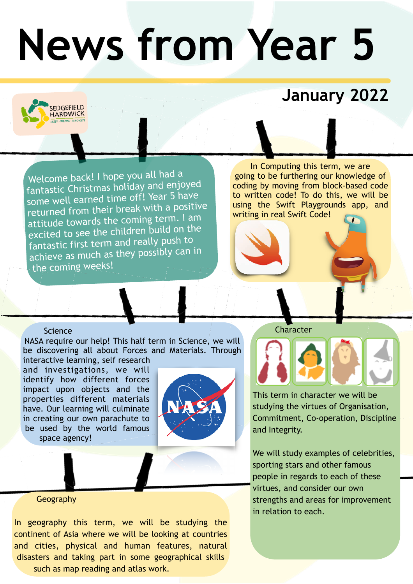# **News from Year 5**

### **January 2022**

Welcome back! I hope you all had a fantastic Christmas holiday and enjoyed some well earned time off! Year 5 have returned from their break with a positive attitude towards the coming term. I am excited to see the children build on the fantastic first term and really push to achieve as much as they possibly can in the coming weeks!

In Computing this term, we are going to be furthering our knowledge of coding by moving from block-based code to written code! To do this, we will be using the Swift Playgrounds app, and writing in real Swift Code!

#### Science

**EDGEFIELD** ARDWICK

NASA require our help! This half term in Science, we will be discovering all about Forces and Materials. Through interactive learning, self research

and investigations, we will identify how different forces impact upon objects and the properties different materials have. Our learning will culminate in creating our own parachute to be used by the world famous space agency!



**Character** 



This term in character we will be studying the virtues of Organisation, Commitment, Co-operation, Discipline and Integrity.

We will study examples of celebrities, sporting stars and other famous people in regards to each of these virtues, and consider our own strengths and areas for improvement in relation to each.

#### Geography

In geography this term, we will be studying the continent of Asia where we will be looking at countries and cities, physical and human features, natural disasters and taking part in some geographical skills such as map reading and atlas work.